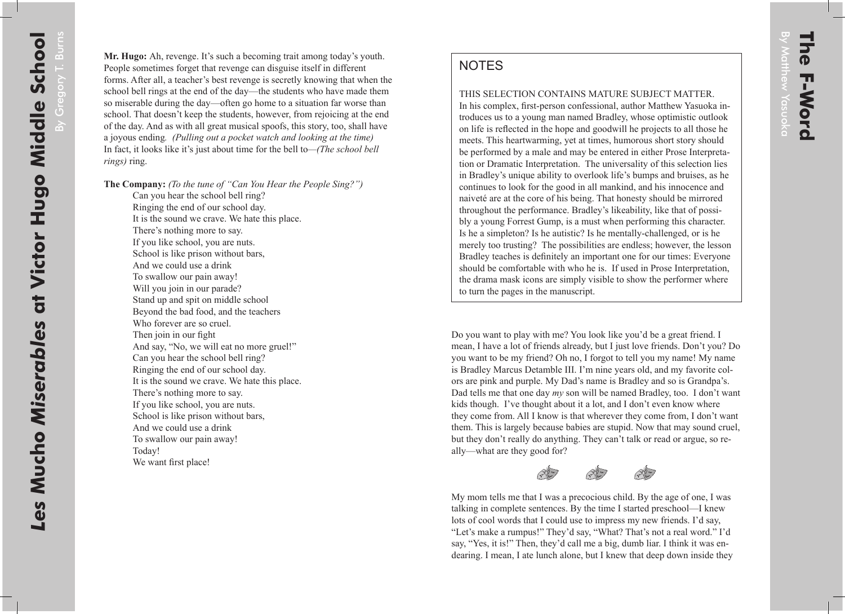## **NOTES**

THIS SELECTION CONTAINS MATURE SUBJECT MATTER.

In his complex, first-person confessional, author Matthew Yasuoka introduces us to a young man named Bradley, whose optimistic outlook on life is reflected in the hope and goodwill he projects to all those he meets. This heartwarming, yet at times, humorous short story should be performed by a male and may be entered in either Prose Interpretation or Dramatic Interpretation. The universality of this selection lies in Bradley's unique ability to overlook life's bumps and bruises, as he continues to look for the good in all mankind, and his innocence and naiveté are at the core of his being. That honesty should be mirrored throughout the performance. Bradley's likeability, like that of possibly a young Forrest Gump, is a must when performing this character. Is he a simpleton? Is he autistic? Is he mentally-challenged, or is he merely too trusting? The possibilities are endless; however, the lesson Bradley teaches is definitely an important one for our times: Everyone should be comfortable with who he is. If used in Prose Interpretation, the drama mask icons are simply visible to show the performer where to turn the pages in the manuscript.

Do you want to play with me? You look like you'd be a great friend. I mean, I have a lot of friends already, but I just love friends. Don't you? Do you want to be my friend? Oh no, I forgot to tell you my name! My name is Bradley Marcus Detamble III. I'm nine years old, and my favorite colors are pink and purple. My Dad's name is Bradley and so is Grandpa's. Dad tells me that one day *my* son will be named Bradley, too. I don't want kids though. I've thought about it a lot, and I don't even know where they come from. All I know is that wherever they come from, I don't want them. This is largely because babies are stupid. Now that may sound cruel, but they don't really do anything. They can't talk or read or argue, so really—what are they good for?





My mom tells me that I was a precocious child. By the age of one, I was talking in complete sentences. By the time I started preschool—I knew lots of cool words that I could use to impress my new friends. I'd say, "Let's make a rumpus!" They'd say, "What? That's not a real word." I'd say, "Yes, it is!" Then, they'd call me a big, dumb liar. I think it was endearing. I mean, I ate lunch alone, but I knew that deep down inside they